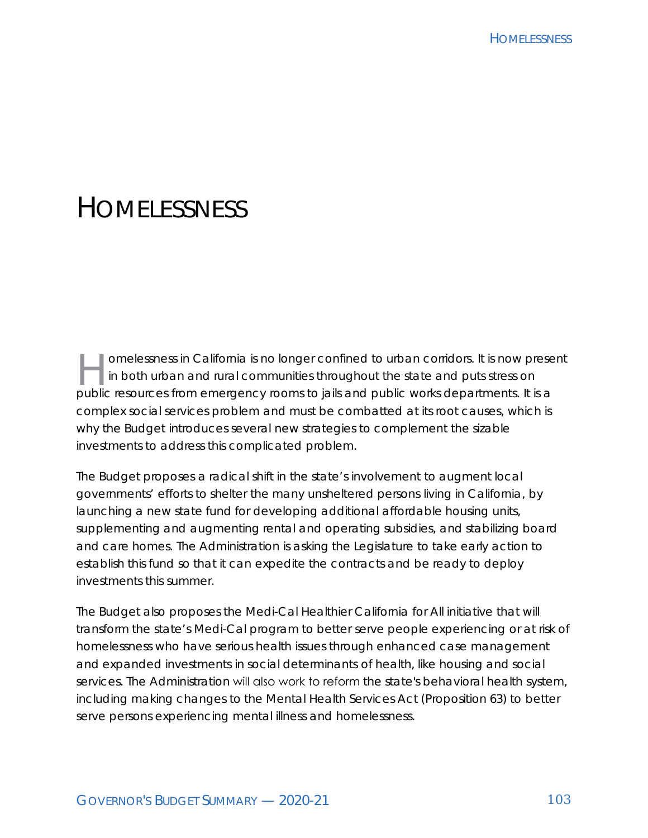# **HOMELESSNESS**

omelessness in California is no longer confined to urban corridors. It is now present in both urban and rural communities throughout the state and puts stress on public resources from emergency rooms to jails and public works departments. It is a complex social services problem and must be combatted at its root causes, which is why the Budget introduces several new strategies to complement the sizable investments to address this complicated problem.

The Budget proposes a radical shift in the state's involvement to augment local governments' efforts to shelter the many unsheltered persons living in California, by launching a new state fund for developing additional affordable housing units, supplementing and augmenting rental and operating subsidies, and stabilizing board and care homes. The Administration is asking the Legislature to take early action to establish this fund so that it can expedite the contracts and be ready to deploy investments this summer.

The Budget also proposes the Medi-Cal Healthier California for All initiative that will transform the state's Medi-Cal program to better serve people experiencing or at risk of homelessness who have serious health issues through enhanced case management and expanded investments in social determinants of health, like housing and social services. The Administration will also work to reform the state's behavioral health system, including making changes to the Mental Health Services Act (Proposition 63) to better serve persons experiencing mental illness and homelessness.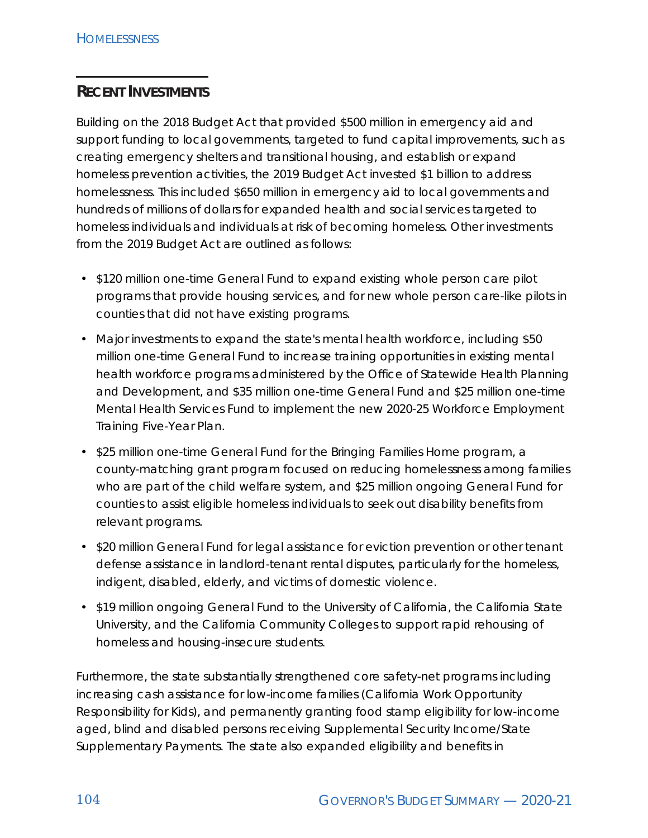## **RECENT INVESTMENTS**

Building on the 2018 Budget Act that provided \$500 million in emergency aid and support funding to local governments, targeted to fund capital improvements, such as creating emergency shelters and transitional housing, and establish or expand homeless prevention activities, the 2019 Budget Act invested \$1 billion to address homelessness. This included \$650 million in emergency aid to local governments and hundreds of millions of dollars for expanded health and social services targeted to homeless individuals and individuals at risk of becoming homeless. Other investments from the 2019 Budget Act are outlined as follows:

- \$120 million one-time General Fund to expand existing whole person care pilot programs that provide housing services, and for new whole person care-like pilots in counties that did not have existing programs.
- Major investments to expand the state's mental health workforce, including \$50 million one-time General Fund to increase training opportunities in existing mental health workforce programs administered by the Office of Statewide Health Planning and Development, and \$35 million one-time General Fund and \$25 million one-time Mental Health Services Fund to implement the new 2020-25 Workforce Employment Training Five-Year Plan.
- \$25 million one-time General Fund for the Bringing Families Home program, a county-matching grant program focused on reducing homelessness among families who are part of the child welfare system, and \$25 million ongoing General Fund for counties to assist eligible homeless individuals to seek out disability benefits from relevant programs.
- \$20 million General Fund for legal assistance for eviction prevention or other tenant defense assistance in landlord-tenant rental disputes, particularly for the homeless, indigent, disabled, elderly, and victims of domestic violence.
- \$19 million ongoing General Fund to the University of California, the California State University, and the California Community Colleges to support rapid rehousing of homeless and housing-insecure students.

Furthermore, the state substantially strengthened core safety-net programs including increasing cash assistance for low-income families (California Work Opportunity Responsibility for Kids), and permanently granting food stamp eligibility for low-income aged, blind and disabled persons receiving Supplemental Security Income/State Supplementary Payments. The state also expanded eligibility and benefits in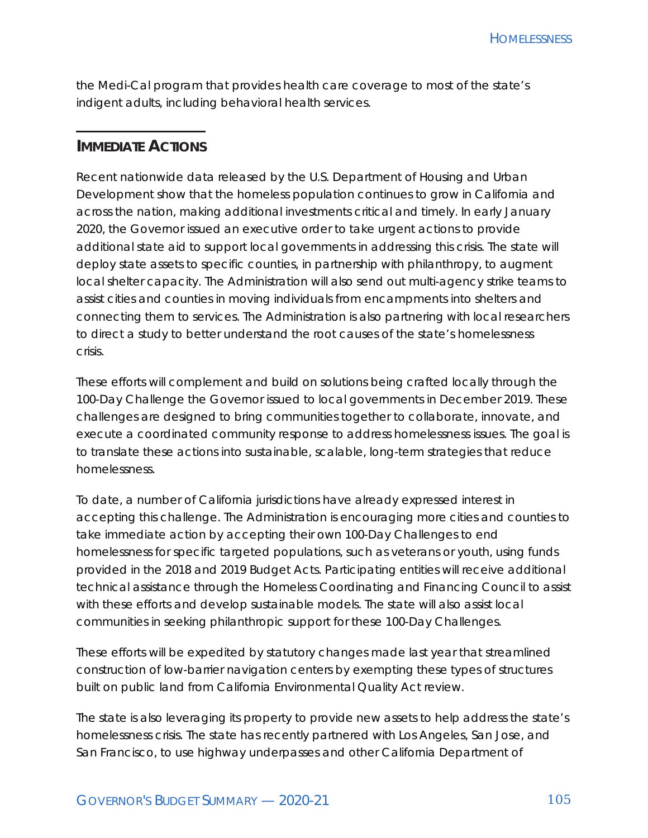the Medi-Cal program that provides health care coverage to most of the state's indigent adults, including behavioral health services.

### **IMMEDIATE ACTIONS**

Recent nationwide data released by the U.S. Department of Housing and Urban Development show that the homeless population continues to grow in California and across the nation, making additional investments critical and timely. In early January 2020, the Governor issued an executive order to take urgent actions to provide additional state aid to support local governments in addressing this crisis. The state will deploy state assets to specific counties, in partnership with philanthropy, to augment local shelter capacity. The Administration will also send out multi-agency strike teams to assist cities and counties in moving individuals from encampments into shelters and connecting them to services. The Administration is also partnering with local researchers to direct a study to better understand the root causes of the state's homelessness crisis.

These efforts will complement and build on solutions being crafted locally through the 100-Day Challenge the Governor issued to local governments in December 2019. These challenges are designed to bring communities together to collaborate, innovate, and execute a coordinated community response to address homelessness issues. The goal is to translate these actions into sustainable, scalable, long-term strategies that reduce homelessness.

To date, a number of California jurisdictions have already expressed interest in accepting this challenge. The Administration is encouraging more cities and counties to take immediate action by accepting their own 100-Day Challenges to end homelessness for specific targeted populations, such as veterans or youth, using funds provided in the 2018 and 2019 Budget Acts. Participating entities will receive additional technical assistance through the Homeless Coordinating and Financing Council to assist with these efforts and develop sustainable models. The state will also assist local communities in seeking philanthropic support for these 100-Day Challenges.

These efforts will be expedited by statutory changes made last year that streamlined construction of low-barrier navigation centers by exempting these types of structures built on public land from California Environmental Quality Act review.

The state is also leveraging its property to provide new assets to help address the state's homelessness crisis. The state has recently partnered with Los Angeles, San Jose, and San Francisco, to use highway underpasses and other California Department of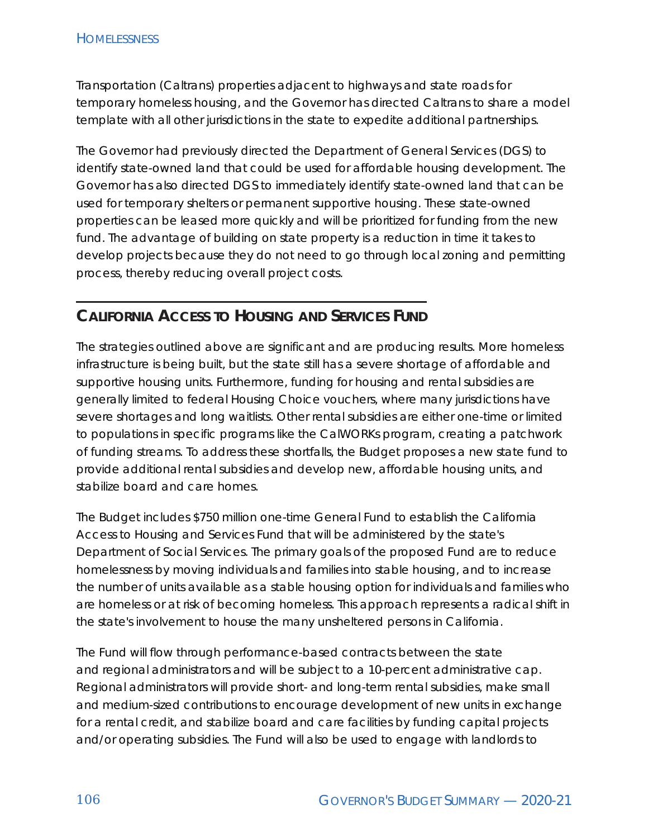Transportation (Caltrans) properties adjacent to highways and state roads for temporary homeless housing, and the Governor has directed Caltrans to share a model template with all other jurisdictions in the state to expedite additional partnerships.

The Governor had previously directed the Department of General Services (DGS) to identify state-owned land that could be used for affordable housing development. The Governor has also directed DGS to immediately identify state-owned land that can be used for temporary shelters or permanent supportive housing. These state-owned properties can be leased more quickly and will be prioritized for funding from the new fund. The advantage of building on state property is a reduction in time it takes to develop projects because they do not need to go through local zoning and permitting process, thereby reducing overall project costs.

# **CALIFORNIA ACCESS TO HOUSING AND SERVICES FUND**

The strategies outlined above are significant and are producing results. More homeless infrastructure is being built, but the state still has a severe shortage of affordable and supportive housing units. Furthermore, funding for housing and rental subsidies are generally limited to federal Housing Choice vouchers, where many jurisdictions have severe shortages and long waitlists. Other rental subsidies are either one-time or limited to populations in specific programs like the CalWORKs program, creating a patchwork of funding streams. To address these shortfalls, the Budget proposes a new state fund to provide additional rental subsidies and develop new, affordable housing units, and stabilize board and care homes.

The Budget includes \$750 million one-time General Fund to establish the California Access to Housing and Services Fund that will be administered by the state's Department of Social Services. The primary goals of the proposed Fund are to reduce homelessness by moving individuals and families into stable housing, and to increase the number of units available as a stable housing option for individuals and families who are homeless or at risk of becoming homeless. This approach represents a radical shift in the state's involvement to house the many unsheltered persons in California.

The Fund will flow through performance-based contracts between the state and regional administrators and will be subject to a 10-percent administrative cap. Regional administrators will provide short- and long-term rental subsidies, make small and medium-sized contributions to encourage development of new units in exchange for a rental credit, and stabilize board and care facilities by funding capital projects and/or operating subsidies. The Fund will also be used to engage with landlords to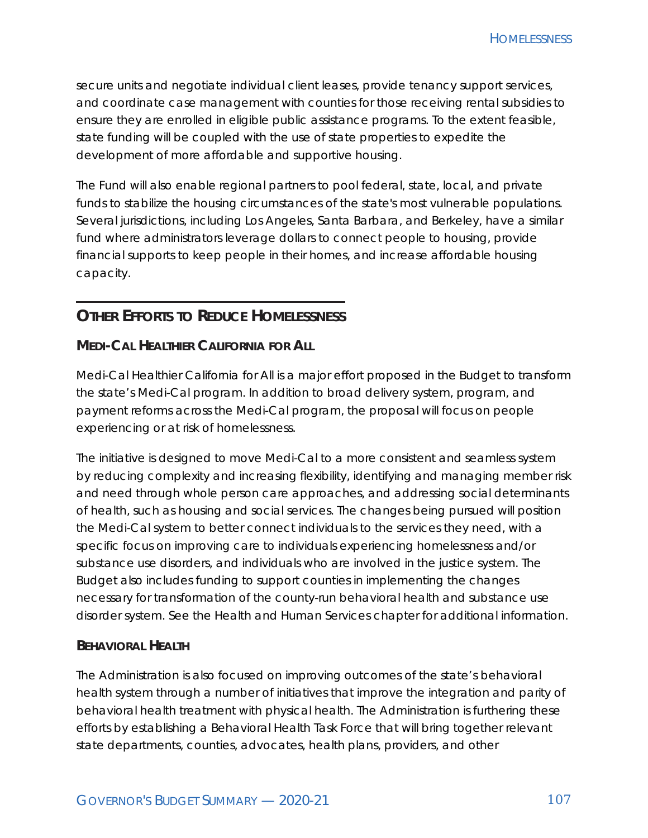secure units and negotiate individual client leases, provide tenancy support services, and coordinate case management with counties for those receiving rental subsidies to ensure they are enrolled in eligible public assistance programs. To the extent feasible, state funding will be coupled with the use of state properties to expedite the development of more affordable and supportive housing.

The Fund will also enable regional partners to pool federal, state, local, and private funds to stabilize the housing circumstances of the state's most vulnerable populations. Several jurisdictions, including Los Angeles, Santa Barbara, and Berkeley, have a similar fund where administrators leverage dollars to connect people to housing, provide financial supports to keep people in their homes, and increase affordable housing capacity.

## **OTHER EFFORTS TO REDUCE HOMELESSNESS**

#### **MEDI-CAL HEALTHIER CALIFORNIA FOR ALL**

Medi-Cal Healthier California for All is a major effort proposed in the Budget to transform the state's Medi-Cal program. In addition to broad delivery system, program, and payment reforms across the Medi-Cal program, the proposal will focus on people experiencing or at risk of homelessness.

The initiative is designed to move Medi-Cal to a more consistent and seamless system by reducing complexity and increasing flexibility, identifying and managing member risk and need through whole person care approaches, and addressing social determinants of health, such as housing and social services. The changes being pursued will position the Medi-Cal system to better connect individuals to the services they need, with a specific focus on improving care to individuals experiencing homelessness and/or substance use disorders, and individuals who are involved in the justice system. The Budget also includes funding to support counties in implementing the changes necessary for transformation of the county-run behavioral health and substance use disorder system. See the Health and Human Services chapter for additional information.

#### **BEHAVIORAL HEALTH**

The Administration is also focused on improving outcomes of the state's behavioral health system through a number of initiatives that improve the integration and parity of behavioral health treatment with physical health. The Administration is furthering these efforts by establishing a Behavioral Health Task Force that will bring together relevant state departments, counties, advocates, health plans, providers, and other